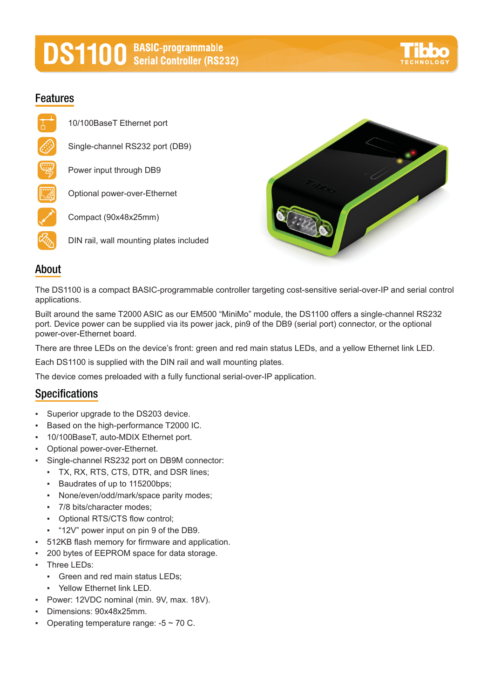# **DS1100** BASIC-programmable



#### **Features**

10/100BaseT Ethernet port Single-channel RS232 port (DB9) Power input through DB9 Optional power-over-Ethernet Compact (90x48x25mm) DIN rail, wall mounting plates included



#### **About**

The DS1100 is a compact BASIC-programmable controller targeting cost-sensitive serial-over-IP and serial control applications.

Built around the same T2000 ASIC as our EM500 "MiniMo" module, the DS1100 offers a single-channel RS232 port. Device power can be supplied via its power jack, pin9 of the DB9 (serial port) connector, or the optional power-over-Ethernet board.

There are three LEDs on the device's front: green and red main status LEDs, and a yellow Ethernet link LED.

Each DS1100 is supplied with the DIN rail and wall mounting plates.

The device comes preloaded with a fully functional serial-over-IP application.

#### **Specifications**

- Superior upgrade to the DS203 device.
- Based on the high-performance T2000 IC.
- 10/100BaseT, auto-MDIX Ethernet port.
- Optional power-over-Ethernet.
- Single-channel RS232 port on DB9M connector:
	- TX, RX, RTS, CTS, DTR, and DSR lines;
	- Baudrates of up to 115200bps;
	- None/even/odd/mark/space parity modes;
	- 7/8 bits/character modes;
	- Optional RTS/CTS flow control;
	- "12V" power input on pin 9 of the DB9.
- 512KB flash memory for firmware and application.
- 200 bytes of EEPROM space for data storage.
- Three LEDs:
	- Green and red main status LEDs;
	- Yellow Ethernet link LED.
- Power: 12VDC nominal (min. 9V, max. 18V).
- Dimensions: 90x48x25mm.
- **•** Operating temperature range:  $-5 \sim 70$  C.